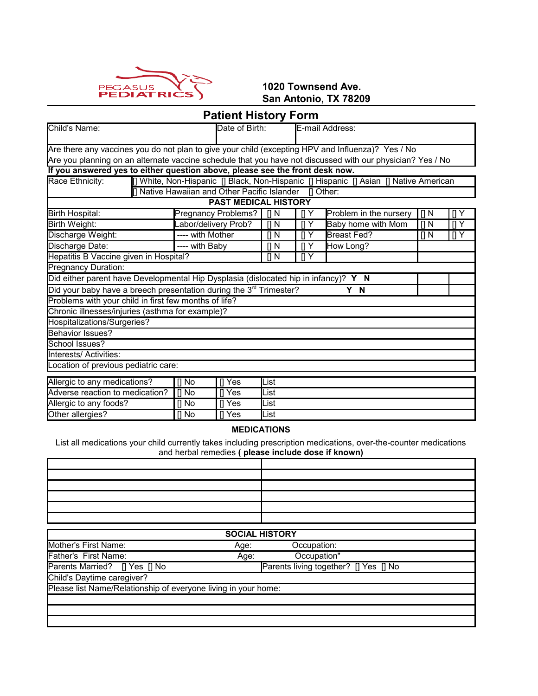

**1020 Townsend Ave. San Antonio, TX 78209**

# **Patient History Form**

| Child's Name:                                                                                              | Date of Birth:       |                                               | E-mail Address:   |                           |                                                                                       |           |                  |
|------------------------------------------------------------------------------------------------------------|----------------------|-----------------------------------------------|-------------------|---------------------------|---------------------------------------------------------------------------------------|-----------|------------------|
| Are there any vaccines you do not plan to give your child (excepting HPV and Influenza)? Yes / No          |                      |                                               |                   |                           |                                                                                       |           |                  |
| Are you planning on an alternate vaccine schedule that you have not discussed with our physician? Yes / No |                      |                                               |                   |                           |                                                                                       |           |                  |
| If you answered yes to either question above, please see the front desk now.                               |                      |                                               |                   |                           |                                                                                       |           |                  |
| Race Ethnicity:                                                                                            |                      |                                               |                   |                           | [] White, Non-Hispanic [] Black, Non-Hispanic [] Hispanic [] Asian [] Native American |           |                  |
|                                                                                                            |                      | [] Native Hawaiian and Other Pacific Islander |                   | Il Other:                 |                                                                                       |           |                  |
|                                                                                                            |                      | <b>PAST MEDICAL HISTORY</b>                   |                   |                           |                                                                                       |           |                  |
| <b>Birth Hospital:</b>                                                                                     |                      | Pregnancy Problems?                           | $\Pi N$           | ПY                        | Problem in the nursery                                                                | $\prod$ N | $\Pi Y$          |
| Birth Weight:                                                                                              | Labor/delivery Prob? |                                               | $\Pi N$           | $\mathsf{I}$<br>Υ         | Baby home with Mom                                                                    | $[$ N     | $\overline{[]Y}$ |
| Discharge Weight:                                                                                          | ---- with Mother     |                                               | $\overline{  } N$ | $\Pi Y$                   | <b>Breast Fed?</b>                                                                    | [] N      | []Y              |
| Discharge Date:                                                                                            | ---- with Baby       |                                               | [] N              | $\mathsf{I} \mathsf{I}$ Y | How Long?                                                                             |           |                  |
| Hepatitis B Vaccine given in Hospital?                                                                     |                      |                                               | [] N              | $\P$ Y                    |                                                                                       |           |                  |
| Pregnancy Duration:                                                                                        |                      |                                               |                   |                           |                                                                                       |           |                  |
| Did either parent have Developmental Hip Dysplasia (dislocated hip in infancy)? Y N                        |                      |                                               |                   |                           |                                                                                       |           |                  |
| Did your baby have a breech presentation during the 3 <sup>rd</sup> Trimester?                             |                      |                                               |                   |                           | Y N                                                                                   |           |                  |
| Problems with your child in first few months of life?                                                      |                      |                                               |                   |                           |                                                                                       |           |                  |
| Chronic illnesses/injuries (asthma for example)?                                                           |                      |                                               |                   |                           |                                                                                       |           |                  |
| Hospitalizations/Surgeries?                                                                                |                      |                                               |                   |                           |                                                                                       |           |                  |
| Behavior Issues?                                                                                           |                      |                                               |                   |                           |                                                                                       |           |                  |
| School Issues?                                                                                             |                      |                                               |                   |                           |                                                                                       |           |                  |
| Interests/ Activities:                                                                                     |                      |                                               |                   |                           |                                                                                       |           |                  |
| ocation of previous pediatric care:                                                                        |                      |                                               |                   |                           |                                                                                       |           |                  |
| Allergic to any medications?                                                                               | $\prod$ No           | ∏ Yes                                         | List              |                           |                                                                                       |           |                  |
| Adverse reaction to medication?                                                                            | $\prod$ No           | ∏ Yes                                         | List              |                           |                                                                                       |           |                  |
| Allergic to any foods?<br>$[]$ No<br>∏ Yes<br>List                                                         |                      |                                               |                   |                           |                                                                                       |           |                  |
| Other allergies?                                                                                           | [] No                | ∏ Yes                                         | List              |                           |                                                                                       |           |                  |

#### **MEDICATIONS**

List all medications your child currently takes including prescription medications, over-the-counter medications and herbal remedies **( please include dose if known)**

|                                                                | <b>SOCIAL HISTORY</b>                 |
|----------------------------------------------------------------|---------------------------------------|
| Mother's First Name:<br>Age:                                   | Occupation:                           |
| Father's First Name:<br>Age:                                   | Occupation"                           |
| Parents Married? [] Yes [] No                                  | Parents living together? [] Yes [] No |
| Child's Daytime caregiver?                                     |                                       |
| Please list Name/Relationship of everyone living in your home: |                                       |
|                                                                |                                       |
|                                                                |                                       |
|                                                                |                                       |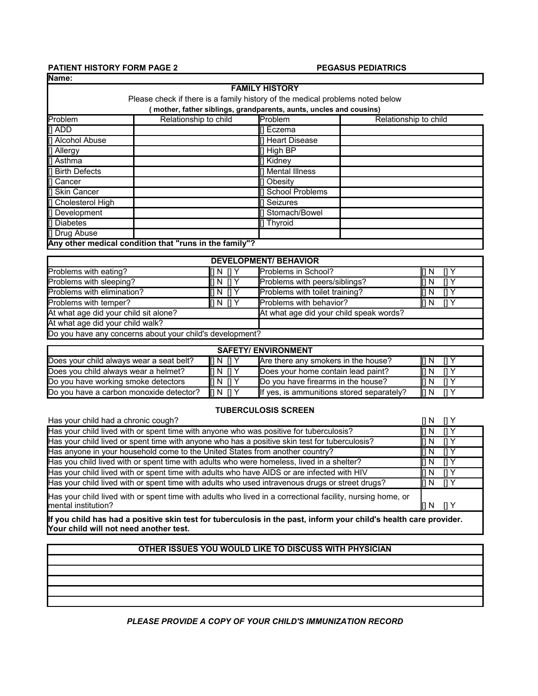#### **PATIENT HISTORY FORM PAGE 2** PEGASUS PEDIATRICS **Name:**

٦

| <b>FAMILY HISTORY</b>                                                         |                                                        |                     |                       |  |  |  |  |  |
|-------------------------------------------------------------------------------|--------------------------------------------------------|---------------------|-----------------------|--|--|--|--|--|
| Please check if there is a family history of the medical problems noted below |                                                        |                     |                       |  |  |  |  |  |
| mother, father siblings, grandparents, aunts, uncles and cousins)             |                                                        |                     |                       |  |  |  |  |  |
| Problem                                                                       | Relationship to child                                  | Problem             | Relationship to child |  |  |  |  |  |
| [] ADD                                                                        |                                                        | [] Eczema           |                       |  |  |  |  |  |
| [] Alcohol Abuse                                                              |                                                        | Heart Disease       |                       |  |  |  |  |  |
| [] Allergy                                                                    |                                                        | $\parallel$ High BP |                       |  |  |  |  |  |
| [] Asthma                                                                     |                                                        | <b>∏ Kidney</b>     |                       |  |  |  |  |  |
| [] Birth Defects                                                              |                                                        | II Mental Illness   |                       |  |  |  |  |  |
| [] Cancer                                                                     |                                                        | <b>I</b> l Obesity  |                       |  |  |  |  |  |
| [] Skin Cancer                                                                |                                                        | [] School Problems  |                       |  |  |  |  |  |
| [] Cholesterol High                                                           |                                                        | <b>∏</b> Seizures   |                       |  |  |  |  |  |
| [] Development                                                                |                                                        | [] Stomach/Bowel    |                       |  |  |  |  |  |
| [] Diabetes                                                                   |                                                        | [] Thyroid          |                       |  |  |  |  |  |
| [] Drug Abuse                                                                 |                                                        |                     |                       |  |  |  |  |  |
|                                                                               | Any other medical condition that "runs in the family"? |                     |                       |  |  |  |  |  |
|                                                                               |                                                        |                     |                       |  |  |  |  |  |

| <b>DEVELOPMENT/ BEHAVIOR</b>                                                     |                                                           |                                |       |  |  |  |  |
|----------------------------------------------------------------------------------|-----------------------------------------------------------|--------------------------------|-------|--|--|--|--|
| Problems with eating?                                                            | $\mathbf{II} \mathbf{N} \mathbf{I} \mathbf{I} \mathbf{Y}$ | <b>Problems in School?</b>     |       |  |  |  |  |
| Problems with sleeping?                                                          | II N I Y                                                  | Problems with peers/siblings?  | N.    |  |  |  |  |
| Problems with elimination?                                                       | $\mathbf{II} \mathbf{N} \mathbf{I} \mathbf{I} \mathbf{Y}$ | Problems with toilet training? |       |  |  |  |  |
| Problems with temper?                                                            | $\mathbf{II} \mathbf{N} \mathbf{I} \mathbf{I} \mathbf{Y}$ | Problems with behavior?        | iti n |  |  |  |  |
| At what age did your child sit alone?<br>At what age did your child speak words? |                                                           |                                |       |  |  |  |  |
| At what age did your child walk?                                                 |                                                           |                                |       |  |  |  |  |
| Do you have any concerns about your child's development?                         |                                                           |                                |       |  |  |  |  |

| <b>SAFETY/ ENVIRONMENT</b>               |                                               |                                           |       |  |  |  |
|------------------------------------------|-----------------------------------------------|-------------------------------------------|-------|--|--|--|
| Does your child always wear a seat belt? | $\mathbb{R}$ N $\mathbb{R}$ Y                 | Are there any smokers in the house?       | IN N  |  |  |  |
| Does you child always wear a helmet?     | II N I Y                                      | Does your home contain lead paint?        | IN N  |  |  |  |
| Do you have working smoke detectors      | $\mathbb{R}$ N $\mathbb{R}$ Y                 | Do you have firearms in the house?        | IN N  |  |  |  |
| Do you have a carbon monoxide detector?  | $\mathsf{H} \mathsf{N} \mathsf{H} \mathsf{Y}$ | If yes, is ammunitions stored separately? | I[] N |  |  |  |

#### **TUBERCULOSIS SCREEN**

| Has your child had a chronic cough?                                                                                |                                 |
|--------------------------------------------------------------------------------------------------------------------|---------------------------------|
| Has your child lived with or spent time with anyone who was positive for tuberculosis?                             | ПY<br>IN N                      |
| Has your child lived or spent time with anyone who has a positive skin test for tuberculosis?                      | $\Box$ Y<br>In N                |
| Has anyone in your household come to the United States from another country?                                       | $\mathsf{H} \mathsf{A}$<br>IN N |
| Has you child lived with or spent time with adults who were homeless, lived in a shelter?                          | TI Y<br>IN N                    |
| Has your child lived with or spent time with adults who have AIDS or are infected with HIV                         | $\prod Y$<br>IN N               |
| Has your child lived with or spent time with adults who used intravenous drugs or street drugs?                    | $\prod Y$<br>IN N               |
| Has your child lived with or spent time with adults who lived in a correctional facility, nursing home, or         |                                 |
| Imental institution?                                                                                               |                                 |
| llf van akilal kaa kaal a maaitiya akin taat fantukananlaaja jo tha maat jufano yang akilala kaalth aana muanislan |                                 |

**If you child has had a positive skin test for tuberculosis in the past, inform your child's health care provider. Your child will not need another test.**

#### **OTHER ISSUES YOU WOULD LIKE TO DISCUSS WITH PHYSICIAN**

#### *PLEASE PROVIDE A COPY OF YOUR CHILD'S IMMUNIZATION RECORD*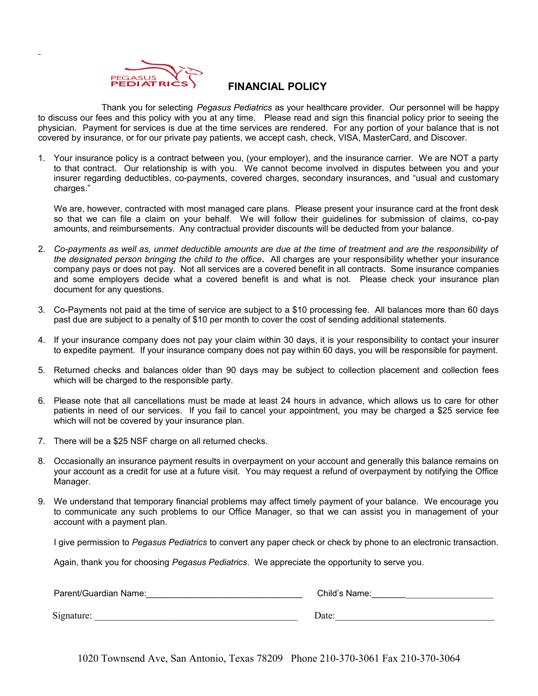

# **FINANCIAL POLICY**

 Thank you for selecting *Pegasus Pediatrics* as your healthcare provider. Our personnel will be happy to discuss our fees and this policy with you at any time. Please read and sign this financial policy prior to seeing the physician. Payment for services is due at the time services are rendered. For any portion of your balance that is not covered by insurance, or for our private pay patients, we accept cash, check, VISA, MasterCard, and Discover.

1. Your insurance policy is a contract between you, (your employer), and the insurance carrier. We are NOT a party to that contract. Our relationship is with you. We cannot become involved in disputes between you and your insurer regarding deductibles, co-payments, covered charges, secondary insurances, and "usual and customary charges."

We are, however, contracted with most managed care plans. Please present your insurance card at the front desk so that we can file a claim on your behalf. We will follow their guidelines for submission of claims, co-pay amounts, and reimbursements. Any contractual provider discounts will be deducted from your balance.

- 2. *Co-payments as well as, unmet deductible amounts are due at the time of treatment and are the responsibility of the designated person bringing the child to the office.* All charges are your responsibility whether your insurance company pays or does not pay. Not all services are a covered benefit in all contracts. Some insurance companies and some employers decide what a covered benefit is and what is not. Please check your insurance plan document for any questions.
- 3. Co-Payments not paid at the time of service are subject to a \$10 processing fee. All balances more than 60 days past due are subject to a penalty of \$10 per month to cover the cost of sending additional statements.
- 4. If your insurance company does not pay your claim within 30 days, it is your responsibility to contact your insurer to expedite payment. If your insurance company does not pay within 60 days, you will be responsible for payment.
- 5. Returned checks and balances older than 90 days may be subject to collection placement and collection fees which will be charged to the responsible party.
- 6. Please note that all cancellations must be made at least 24 hours in advance, which allows us to care for other patients in need of our services. If you fail to cancel your appointment, you may be charged a \$25 service fee which will not be covered by your insurance plan.
- 7. There will be a \$25 NSF charge on all returned checks.
- 8. Occasionally an insurance payment results in overpayment on your account and generally this balance remains on your account as a credit for use at a future visit. You may request a refund of overpayment by notifying the Office Manager.
- 9. We understand that temporary financial problems may affect timely payment of your balance. We encourage you to communicate any such problems to our Office Manager, so that we can assist you in management of your account with a payment plan.

I give permission to *Pegasus Pediatrics* to convert any paper check or check by phone to an electronic transaction.

Again, thank you for choosing *Pegasus Pediatrics*. We appreciate the opportunity to serve you.

| Parent/Guardian Name: | Child's Name: |
|-----------------------|---------------|
| Signature:            | Date:         |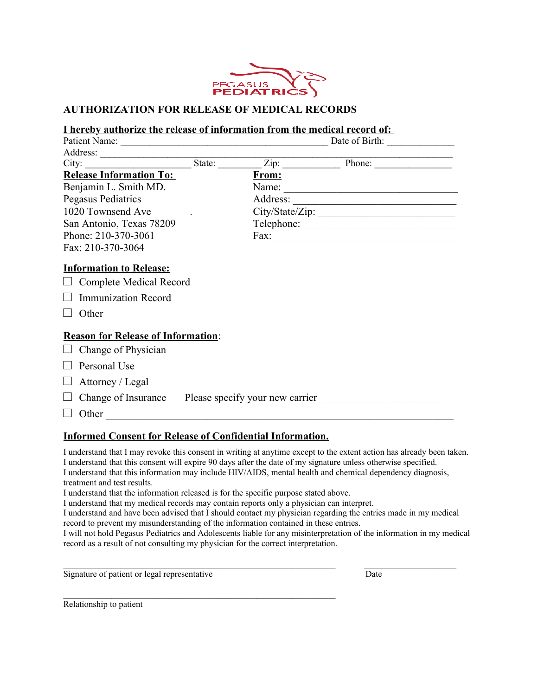

#### **AUTHORIZATION FOR RELEASE OF MEDICAL RECORDS**

# **I hereby authorize the release of information from the medical record of:**

| City:                                                                                          | State: $\overline{\phantom{a}}$ | Zip:     | Phone:                                                                                        |  |
|------------------------------------------------------------------------------------------------|---------------------------------|----------|-----------------------------------------------------------------------------------------------|--|
| <b>Release Information To:</b>                                                                 |                                 | From:    |                                                                                               |  |
| Benjamin L. Smith MD.                                                                          |                                 | Name:    | and the control of the control of the control of the control of the control of the control of |  |
| <b>Pegasus Pediatrics</b>                                                                      |                                 | Address: | <u> 1989 - Johann John Stein, mars an deus Amerikaansk kommunister (</u>                      |  |
| 1020 Townsend Ave                                                                              |                                 |          | City/State/Zip:                                                                               |  |
| San Antonio, Texas 78209                                                                       |                                 |          |                                                                                               |  |
| Phone: 210-370-3061                                                                            |                                 |          |                                                                                               |  |
| Fax: 210-370-3064                                                                              |                                 |          |                                                                                               |  |
| <b>Information to Release:</b><br>$\Box$ Complete Medical Record<br><b>Immunization Record</b> |                                 |          |                                                                                               |  |
| <b>Reason for Release of Information:</b>                                                      |                                 |          |                                                                                               |  |
| $\Box$ Change of Physician                                                                     |                                 |          |                                                                                               |  |
| Personal Use                                                                                   |                                 |          |                                                                                               |  |
| Attorney / Legal                                                                               |                                 |          |                                                                                               |  |
| Change of Insurance Please specify your new carrier                                            |                                 |          |                                                                                               |  |
| Other                                                                                          |                                 |          |                                                                                               |  |

#### **Informed Consent for Release of Confidential Information.**

 $\mathcal{L}_\text{max} = \mathcal{L}_\text{max} = \mathcal{L}_\text{max} = \mathcal{L}_\text{max} = \mathcal{L}_\text{max} = \mathcal{L}_\text{max} = \mathcal{L}_\text{max} = \mathcal{L}_\text{max} = \mathcal{L}_\text{max} = \mathcal{L}_\text{max} = \mathcal{L}_\text{max} = \mathcal{L}_\text{max} = \mathcal{L}_\text{max} = \mathcal{L}_\text{max} = \mathcal{L}_\text{max} = \mathcal{L}_\text{max} = \mathcal{L}_\text{max} = \mathcal{L}_\text{max} = \mathcal{$ 

I understand that I may revoke this consent in writing at anytime except to the extent action has already been taken. I understand that this consent will expire 90 days after the date of my signature unless otherwise specified. I understand that this information may include HIV/AIDS, mental health and chemical dependency diagnosis, treatment and test results. I understand that the information released is for the specific purpose stated above. I understand that my medical records may contain reports only a physician can interpret. I understand and have been advised that I should contact my physician regarding the entries made in my medical record to prevent my misunderstanding of the information contained in these entries.

I will not hold Pegasus Pediatrics and Adolescents liable for any misinterpretation of the information in my medical record as a result of not consulting my physician for the correct interpretation.

Signature of patient or legal representative Date

Relationship to patient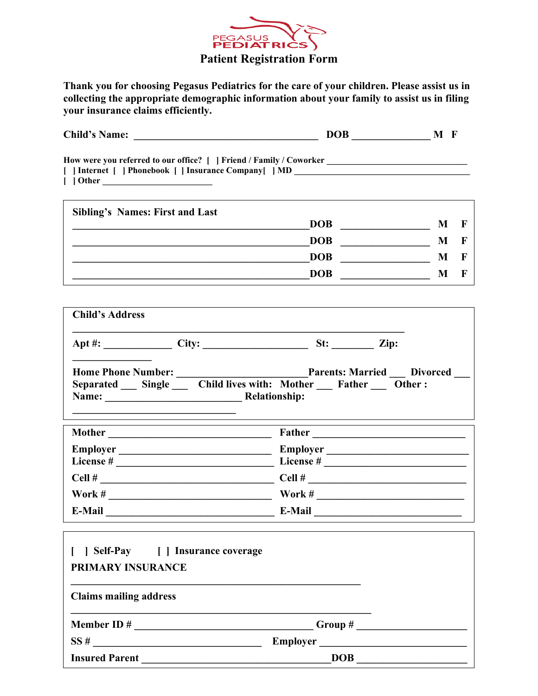

# **Thank you for choosing Pegasus Pediatrics for the care of your children. Please assist us in collecting the appropriate demographic information about your family to assist us in filing your insurance claims efficiently.**

|                                                                                                  | Child's Name:<br>$DOB$ $M F$                                                                                                                                                             |   |             |
|--------------------------------------------------------------------------------------------------|------------------------------------------------------------------------------------------------------------------------------------------------------------------------------------------|---|-------------|
|                                                                                                  | How were you referred to our office? [ ] Friend / Family / Coworker ________________________________<br>[   Internet     Phonebook     Insurance Company   MD __________________________ |   |             |
| <b>Sibling's Names: First and Last</b>                                                           |                                                                                                                                                                                          |   |             |
|                                                                                                  |                                                                                                                                                                                          | M | $\mathbf F$ |
|                                                                                                  |                                                                                                                                                                                          | M | $\mathbf F$ |
|                                                                                                  | DOB                                                                                                                                                                                      | M | $\mathbf F$ |
|                                                                                                  | DOB                                                                                                                                                                                      | M | F           |
| <b>Child's Address</b>                                                                           |                                                                                                                                                                                          |   |             |
|                                                                                                  | Apt #: City: City: St: City: Xip:                                                                                                                                                        |   |             |
|                                                                                                  |                                                                                                                                                                                          |   |             |
| Relationship:<br>Name:                                                                           | Separated __ Single __ Child lives with: Mother __ Father __ Other :                                                                                                                     |   |             |
|                                                                                                  |                                                                                                                                                                                          |   |             |
| Employer                                                                                         |                                                                                                                                                                                          |   |             |
|                                                                                                  |                                                                                                                                                                                          |   |             |
|                                                                                                  |                                                                                                                                                                                          |   |             |
| E-Mail                                                                                           | E-Mail                                                                                                                                                                                   |   |             |
| [ ] Self-Pay [ ] Insurance coverage<br><b>PRIMARY INSURANCE</b><br><b>Claims mailing address</b> |                                                                                                                                                                                          |   |             |
|                                                                                                  |                                                                                                                                                                                          |   |             |

**Insured Parent \_\_\_\_\_\_\_\_\_\_\_\_\_\_\_\_\_\_\_\_\_\_\_\_\_\_\_\_\_\_\_\_\_\_\_\_DOB \_\_\_\_\_\_\_\_\_\_\_\_\_\_\_\_\_\_\_\_\_**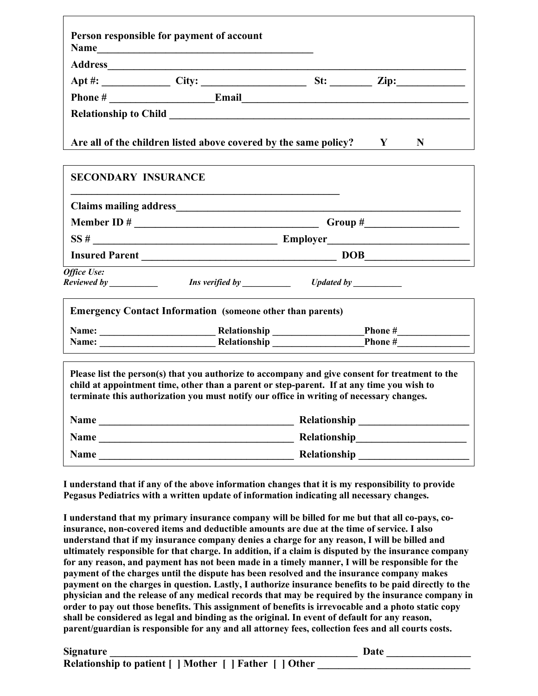|                            | Person responsible for payment of account                                                                                                                                                                                                                                                |  |
|----------------------------|------------------------------------------------------------------------------------------------------------------------------------------------------------------------------------------------------------------------------------------------------------------------------------------|--|
|                            |                                                                                                                                                                                                                                                                                          |  |
|                            |                                                                                                                                                                                                                                                                                          |  |
|                            |                                                                                                                                                                                                                                                                                          |  |
|                            |                                                                                                                                                                                                                                                                                          |  |
|                            | Are all of the children listed above covered by the same policy? $\mathbf{Y} = \mathbf{N}$                                                                                                                                                                                               |  |
| <b>SECONDARY INSURANCE</b> |                                                                                                                                                                                                                                                                                          |  |
|                            |                                                                                                                                                                                                                                                                                          |  |
|                            |                                                                                                                                                                                                                                                                                          |  |
|                            | $SS #$ Employer                                                                                                                                                                                                                                                                          |  |
|                            | Insured Parent DOB                                                                                                                                                                                                                                                                       |  |
| Office Use:                | Reviewed by This verified by Theorem Cydated by Theorem Contains the Cydated by Theorem Cydated by Theorem 201                                                                                                                                                                           |  |
|                            | <b>Emergency Contact Information (someone other than parents)</b>                                                                                                                                                                                                                        |  |
|                            |                                                                                                                                                                                                                                                                                          |  |
|                            |                                                                                                                                                                                                                                                                                          |  |
|                            | Please list the person(s) that you authorize to accompany and give consent for treatment to the<br>child at appointment time, other than a parent or step-parent. If at any time you wish to<br>terminate this authorization you must notify our office in writing of necessary changes. |  |
|                            | Name                                                                                                                                                                                                                                                                                     |  |
|                            |                                                                                                                                                                                                                                                                                          |  |
|                            |                                                                                                                                                                                                                                                                                          |  |

**I understand that if any of the above information changes that it is my responsibility to provide Pegasus Pediatrics with a written update of information indicating all necessary changes.** 

**I understand that my primary insurance company will be billed for me but that all co-pays, coinsurance, non-covered items and deductible amounts are due at the time of service. I also understand that if my insurance company denies a charge for any reason, I will be billed and ultimately responsible for that charge. In addition, if a claim is disputed by the insurance company for any reason, and payment has not been made in a timely manner, I will be responsible for the payment of the charges until the dispute has been resolved and the insurance company makes payment on the charges in question. Lastly, I authorize insurance benefits to be paid directly to the physician and the release of any medical records that may be required by the insurance company in order to pay out those benefits. This assignment of benefits is irrevocable and a photo static copy shall be considered as legal and binding as the original. In event of default for any reason, parent/guardian is responsible for any and all attorney fees, collection fees and all courts costs.**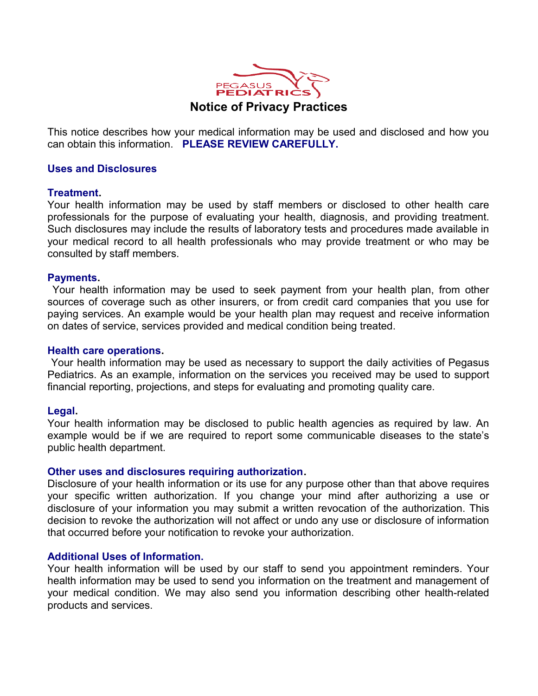

# **Notice of Privacy Practices**

This notice describes how your medical information may be used and disclosed and how you can obtain this information. **PLEASE REVIEW CAREFULLY.**

# **Uses and Disclosures**

# **Treatment.**

Your health information may be used by staff members or disclosed to other health care professionals for the purpose of evaluating your health, diagnosis, and providing treatment. Such disclosures may include the results of laboratory tests and procedures made available in your medical record to all health professionals who may provide treatment or who may be consulted by staff members.

# **Payments.**

 Your health information may be used to seek payment from your health plan, from other sources of coverage such as other insurers, or from credit card companies that you use for paying services. An example would be your health plan may request and receive information on dates of service, services provided and medical condition being treated.

#### **Health care operations.**

 Your health information may be used as necessary to support the daily activities of Pegasus Pediatrics. As an example, information on the services you received may be used to support financial reporting, projections, and steps for evaluating and promoting quality care.

# **Legal.**

Your health information may be disclosed to public health agencies as required by law. An example would be if we are required to report some communicable diseases to the state's public health department.

# **Other uses and disclosures requiring authorization.**

Disclosure of your health information or its use for any purpose other than that above requires your specific written authorization. If you change your mind after authorizing a use or disclosure of your information you may submit a written revocation of the authorization. This decision to revoke the authorization will not affect or undo any use or disclosure of information that occurred before your notification to revoke your authorization.

# **Additional Uses of Information.**

Your health information will be used by our staff to send you appointment reminders. Your health information may be used to send you information on the treatment and management of your medical condition. We may also send you information describing other health-related products and services.